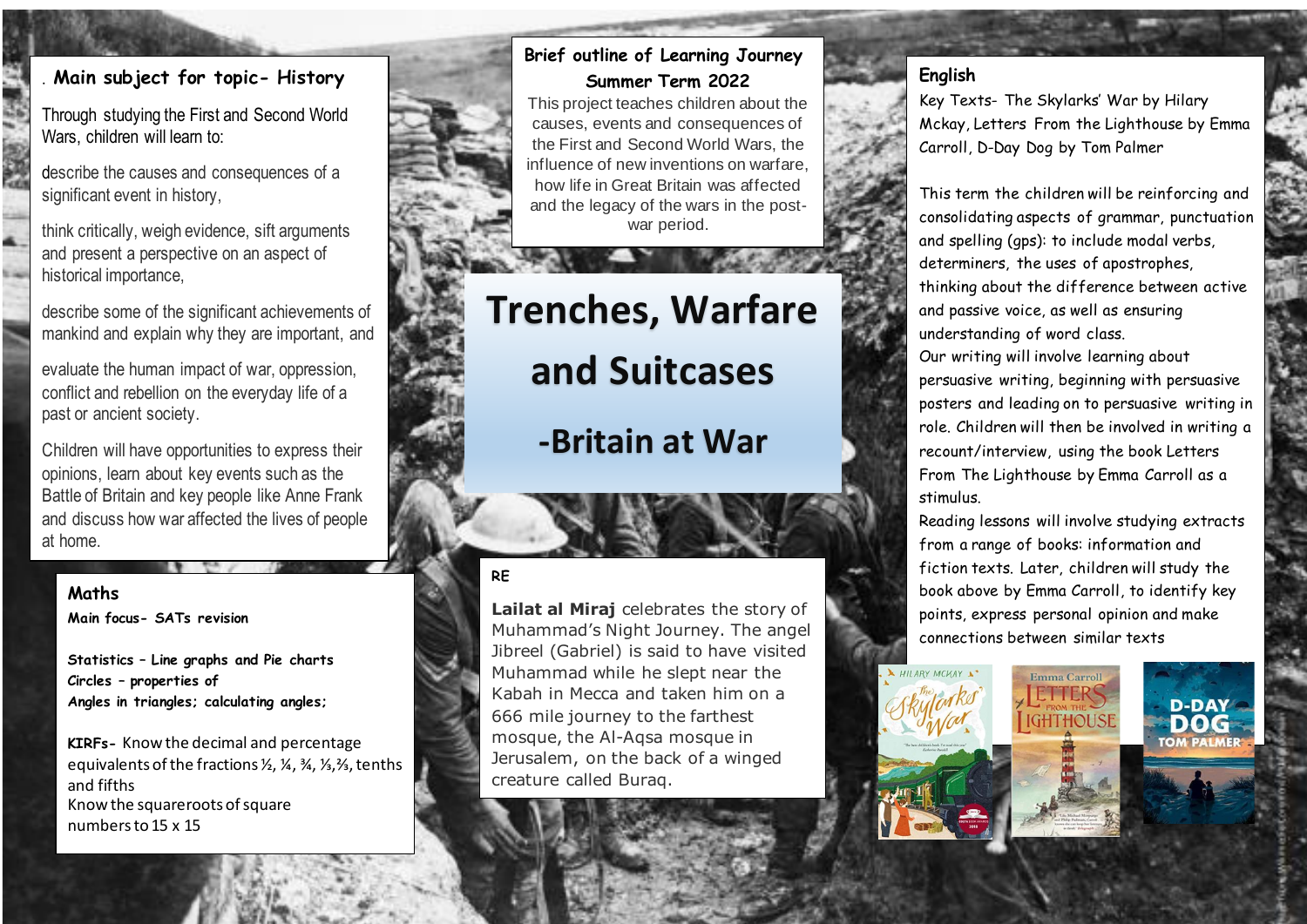## . **Main subject for topic- History**

Through studying the First and Second World Wars, children will learn to:

describe the causes and consequences of a significant event in history,

think critically, weigh evidence, sift arguments and present a perspective on an aspect of historical importance,

describe some of the significant achievements of mankind and explain why they are important, and

evaluate the human impact of war, oppression, conflict and rebellion on the everyday life of a past or ancient society.

Children will have opportunities to express their opinions, learn about key events such as the Battle of Britain and key people like Anne Frank and discuss how war affected the lives of people at home.

#### **Maths**

**.**

**Main focus- SATs revision**

**Statistics – Line graphs and Pie charts Circles – properties of Angles in triangles; calculating angles;**

**KIRFs-** Know the decimal and percentage equivalents of the fractions ½, ¼, ¾, ⅓,⅔, tenths and fifths Know the squareroots of square numbers to 15 x 15

# **Brief outline of Learning Journey Summer Term 2022**

This project teaches children about the causes, events and consequences of the First and Second World Wars, the influence of new inventions on warfare, how life in Great Britain was affected and the legacy of the wars in the postwar period.

**Trenches, Warfare and Suitcases**

**-Britain at War**

## **RE**

**Lailat al Miraj** celebrates the story of Muhammad's Night Journey. The angel Jibreel (Gabriel) is said to have visited Muhammad while he slept near the Kabah in Mecca and taken him on a 666 mile journey to the farthest mosque, the Al-Aqsa mosque in Jerusalem, on the back of a winged creature called Buraq.

## **English**

Key Texts- The Skylarks' War by Hilary Mckay, Letters From the Lighthouse by Emma Carroll, D-Day Dog by Tom Palmer

This term the children will be reinforcing and consolidating aspects of grammar, punctuation and spelling (gps): to include modal verbs, determiners, the uses of apostrophes, thinking about the difference between active and passive voice, as well as ensuring understanding of word class. Our writing will involve learning about persuasive writing, beginning with persuasive posters and leading on to persuasive writing in role. Children will then be involved in writing a recount/interview, using the book Letters From The Lighthouse by Emma Carroll as a stimulus.

Reading lessons will involve studying extracts from a range of books: information and fiction texts. Later, children will study the book above by Emma Carroll, to identify key points, express personal opinion and make connections between similar texts

Emma Carroll